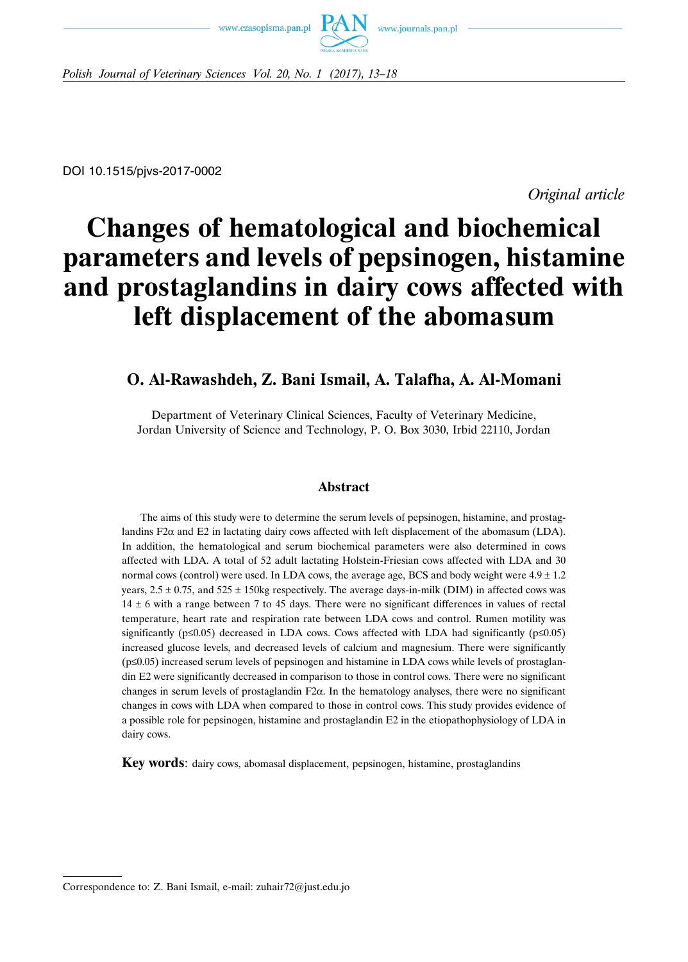www.czasopisma.pan.pl



*Polish Journal of Veterinary Sciences Vol. 20, No. 1 (2017), 13–18*

DOI 10.1515/pjvs-2017-0002

*Original article*

# **Changes of hematological and biochemical parameters and levels of pepsinogen, histamine and prostaglandins in dairy cows affected with left displacement of the abomasum**

## **O. Al-Rawashdeh, Z. Bani Ismail, A. Talafha, A. Al-Momani**

Department of Veterinary Clinical Sciences, Faculty of Veterinary Medicine, Jordan University of Science and Technology, P. O. Box 3030, Irbid 22110, Jordan

## **Abstract**

The aims of this study were to determine the serum levels of pepsinogen, histamine, and prostaglandins F2 $\alpha$  and E2 in lactating dairy cows affected with left displacement of the abomasum (LDA). In addition, the hematological and serum biochemical parameters were also determined in cows affected with LDA. A total of 52 adult lactating Holstein-Friesian cows affected with LDA and 30 normal cows (control) were used. In LDA cows, the average age, BCS and body weight were  $4.9 \pm 1.2$ years,  $2.5 \pm 0.75$ , and  $525 \pm 150$ kg respectively. The average days-in-milk (DIM) in affected cows was  $14 \pm 6$  with a range between 7 to 45 days. There were no significant differences in values of rectal temperature, heart rate and respiration rate between LDA cows and control. Rumen motility was significantly ( $p \le 0.05$ ) decreased in LDA cows. Cows affected with LDA had significantly ( $p \le 0.05$ ) increased glucose levels, and decreased levels of calcium and magnesium. There were significantly (p≤0.05) increased serum levels of pepsinogen and histamine in LDA cows while levels of prostaglandin E2 were significantly decreased in comparison to those in control cows. There were no significant changes in serum levels of prostaglandin F2 $\alpha$ . In the hematology analyses, there were no significant changes in cows with LDA when compared to those in control cows. This study provides evidence of a possible role for pepsinogen, histamine and prostaglandin E2 in the etiopathophysiology of LDA in dairy cows.

**Key words**: dairy cows, abomasal displacement, pepsinogen, histamine, prostaglandins

Correspondence to: Z. Bani Ismail, e-mail: zuhair72@just.edu.jo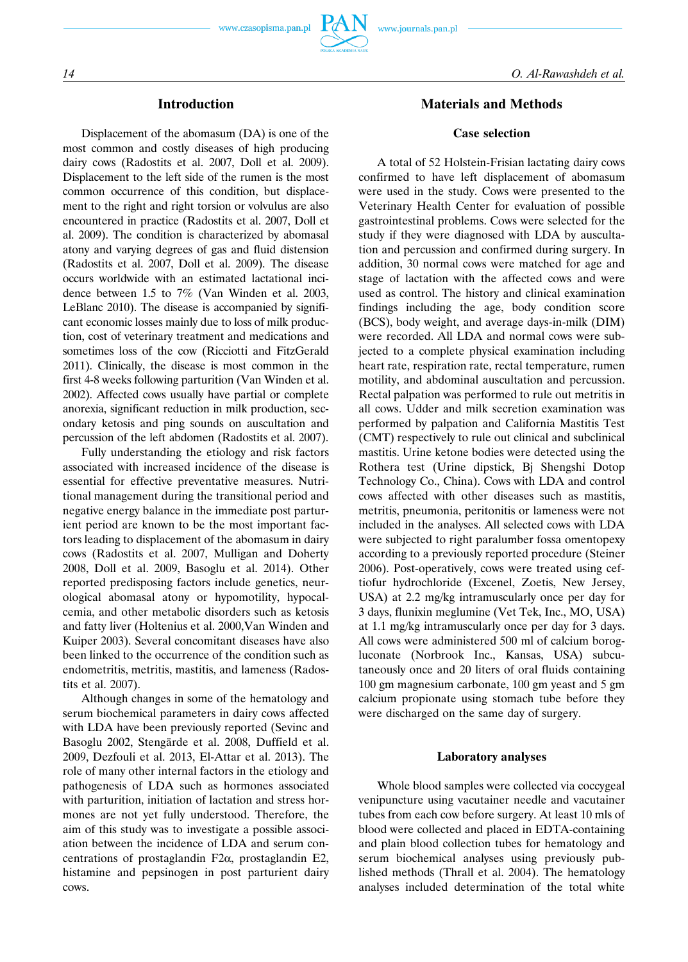

### **Introduction**

Displacement of the abomasum (DA) is one of the most common and costly diseases of high producing dairy cows (Radostits et al. 2007, Doll et al. 2009). Displacement to the left side of the rumen is the most common occurrence of this condition, but displacement to the right and right torsion or volvulus are also encountered in practice (Radostits et al. 2007, Doll et al. 2009). The condition is characterized by abomasal atony and varying degrees of gas and fluid distension (Radostits et al. 2007, Doll et al. 2009). The disease occurs worldwide with an estimated lactational incidence between 1.5 to 7% (Van Winden et al. 2003, LeBlanc 2010). The disease is accompanied by significant economic losses mainly due to loss of milk production, cost of veterinary treatment and medications and sometimes loss of the cow (Ricciotti and FitzGerald 2011). Clinically, the disease is most common in the first 4-8 weeks following parturition (Van Winden et al. 2002). Affected cows usually have partial or complete anorexia, significant reduction in milk production, secondary ketosis and ping sounds on auscultation and percussion of the left abdomen (Radostits et al. 2007).

Fully understanding the etiology and risk factors associated with increased incidence of the disease is essential for effective preventative measures. Nutritional management during the transitional period and negative energy balance in the immediate post parturient period are known to be the most important factors leading to displacement of the abomasum in dairy cows (Radostits et al. 2007, Mulligan and Doherty 2008, Doll et al. 2009, Basoglu et al. 2014). Other reported predisposing factors include genetics, neurological abomasal atony or hypomotility, hypocalcemia, and other metabolic disorders such as ketosis and fatty liver (Holtenius et al. 2000,Van Winden and Kuiper 2003). Several concomitant diseases have also been linked to the occurrence of the condition such as endometritis, metritis, mastitis, and lameness (Radostits et al. 2007).

Although changes in some of the hematology and serum biochemical parameters in dairy cows affected with LDA have been previously reported (Sevinc and Basoglu 2002, Stengärde et al. 2008, Duffield et al. 2009, Dezfouli et al. 2013, El-Attar et al. 2013). The role of many other internal factors in the etiology and pathogenesis of LDA such as hormones associated with parturition, initiation of lactation and stress hormones are not yet fully understood. Therefore, the aim of this study was to investigate a possible association between the incidence of LDA and serum concentrations of prostaglandin F2α, prostaglandin E2, histamine and pepsinogen in post parturient dairy cows.

## **Materials and Methods**

#### **Case selection**

A total of 52 Holstein-Frisian lactating dairy cows confirmed to have left displacement of abomasum were used in the study. Cows were presented to the Veterinary Health Center for evaluation of possible gastrointestinal problems. Cows were selected for the study if they were diagnosed with LDA by auscultation and percussion and confirmed during surgery. In addition, 30 normal cows were matched for age and stage of lactation with the affected cows and were used as control. The history and clinical examination findings including the age, body condition score (BCS), body weight, and average days-in-milk (DIM) were recorded. All LDA and normal cows were subjected to a complete physical examination including heart rate, respiration rate, rectal temperature, rumen motility, and abdominal auscultation and percussion. Rectal palpation was performed to rule out metritis in all cows. Udder and milk secretion examination was performed by palpation and California Mastitis Test (CMT) respectively to rule out clinical and subclinical mastitis. Urine ketone bodies were detected using the Rothera test (Urine dipstick, Bj Shengshi Dotop Technology Co., China). Cows with LDA and control cows affected with other diseases such as mastitis, metritis, pneumonia, peritonitis or lameness were not included in the analyses. All selected cows with LDA were subjected to right paralumber fossa omentopexy according to a previously reported procedure (Steiner 2006). Post-operatively, cows were treated using ceftiofur hydrochloride (Excenel, Zoetis, New Jersey, USA) at 2.2 mg/kg intramuscularly once per day for 3 days, flunixin meglumine (Vet Tek, Inc., MO, USA) at 1.1 mg/kg intramuscularly once per day for 3 days. All cows were administered 500 ml of calcium borogluconate (Norbrook Inc., Kansas, USA) subcutaneously once and 20 liters of oral fluids containing 100 gm magnesium carbonate, 100 gm yeast and 5 gm calcium propionate using stomach tube before they were discharged on the same day of surgery.

#### **Laboratory analyses**

Whole blood samples were collected via coccygeal venipuncture using vacutainer needle and vacutainer tubes from each cow before surgery. At least 10 mls of blood were collected and placed in EDTA-containing and plain blood collection tubes for hematology and serum biochemical analyses using previously published methods (Thrall et al. 2004). The hematology analyses included determination of the total white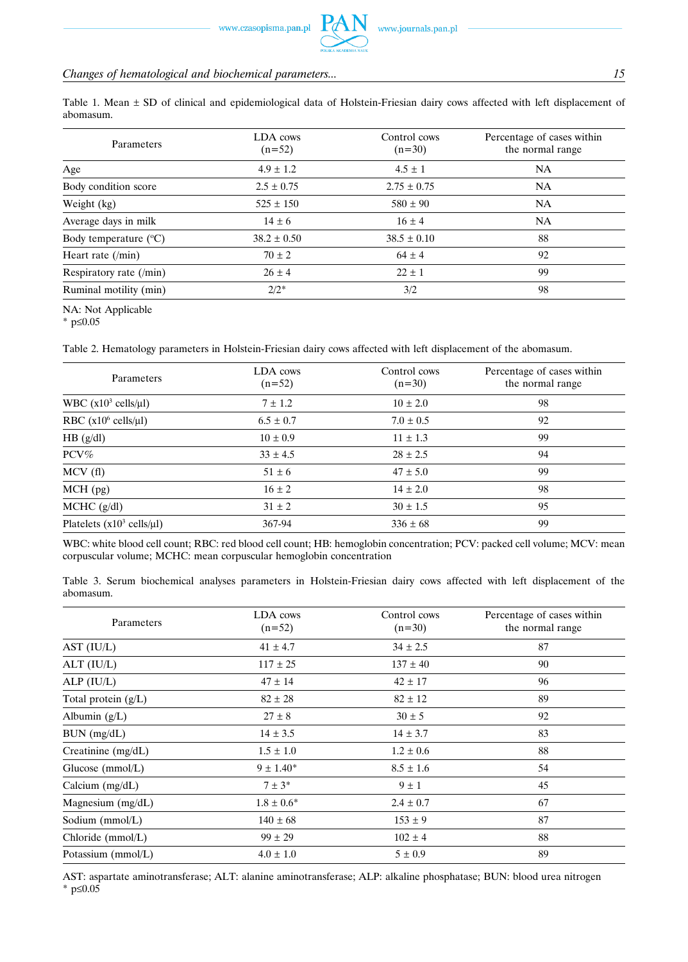## *Changes of hematological and biochemical parameters... 15*

Table 1. Mean  $\pm$  SD of clinical and epidemiological data of Holstein-Friesian dairy cows affected with left displacement of abomasum.

| Parameters                     | LDA cows<br>$(n=52)$ | Control cows<br>$(n=30)$ | Percentage of cases within<br>the normal range |
|--------------------------------|----------------------|--------------------------|------------------------------------------------|
| Age                            | $4.9 \pm 1.2$        | $4.5 \pm 1$              | <b>NA</b>                                      |
| Body condition score           | $2.5 \pm 0.75$       | $2.75 \pm 0.75$          | NA                                             |
| Weight (kg)                    | $525 \pm 150$        | $580 \pm 90$             | <b>NA</b>                                      |
| Average days in milk           | $14 \pm 6$           | $16 \pm 4$               | NA                                             |
| Body temperature $(^{\circ}C)$ | $38.2 \pm 0.50$      | $38.5 \pm 0.10$          | 88                                             |
| Heart rate $(\text{min})$      | $70 \pm 2$           | $64 \pm 4$               | 92                                             |
| Respiratory rate (/min)        | $26 \pm 4$           | $22 \pm 1$               | 99                                             |
| Ruminal motility (min)         | $2/2^*$              | 3/2                      | 98                                             |

NA: Not Applicable

\* p≤0.05

Table 2. Hematology parameters in Holstein-Friesian dairy cows affected with left displacement of the abomasum.

| Parameters                                    | LDA cows<br>$(n=52)$ | Control cows<br>$(n=30)$ | Percentage of cases within<br>the normal range |
|-----------------------------------------------|----------------------|--------------------------|------------------------------------------------|
| WBC $(x10^3 \text{ cells/}\mu\text{I})$       | $7 \pm 1.2$          | $10 \pm 2.0$             | 98                                             |
| RBC $(x10^6 \text{ cells/}\mu\text{I})$       | $6.5 \pm 0.7$        | $7.0 \pm 0.5$            | 92                                             |
| HB (g/dl)                                     | $10 \pm 0.9$         | $11 \pm 1.3$             | 99                                             |
| PCV%                                          | $33 \pm 4.5$         | $28 \pm 2.5$             | 94                                             |
| MCV(fl)                                       | $51 \pm 6$           | $47 \pm 5.0$             | 99                                             |
| $MCH$ (pg)                                    | $16 \pm 2$           | $14 \pm 2.0$             | 98                                             |
| $MCHC$ ( $g/dl$ )                             | $31 \pm 2$           | $30 \pm 1.5$             | 95                                             |
| Platelets $(x10^3 \text{ cells/}\mu\text{l})$ | 367-94               | $336 \pm 68$             | 99                                             |

WBC: white blood cell count; RBC: red blood cell count; HB: hemoglobin concentration; PCV: packed cell volume; MCV: mean corpuscular volume; MCHC: mean corpuscular hemoglobin concentration

|           |  |  | Table 3. Serum biochemical analyses parameters in Holstein-Friesian dairy cows affected with left displacement of the |  |  |  |  |
|-----------|--|--|-----------------------------------------------------------------------------------------------------------------------|--|--|--|--|
| abomasum. |  |  |                                                                                                                       |  |  |  |  |

| Parameters            | LDA cows<br>$(n=52)$ | Control cows<br>$(n=30)$ | Percentage of cases within<br>the normal range |
|-----------------------|----------------------|--------------------------|------------------------------------------------|
| AST (IU/L)            | $41 \pm 4.7$         | $34 \pm 2.5$             | 87                                             |
| ALT (IU/L)            | $117 \pm 25$         | $137 \pm 40$             | 90                                             |
| ALP (IU/L)            | $47 \pm 14$          | $42 \pm 17$              | 96                                             |
| Total protein $(g/L)$ | $82 \pm 28$          | $82 \pm 12$              | 89                                             |
| Albumin (g/L)         | $27 \pm 8$           | $30 \pm 5$               | 92                                             |
| BUN (mg/dL)           | $14 \pm 3.5$         | $14 \pm 3.7$             | 83                                             |
| Creatinine (mg/dL)    | $1.5 \pm 1.0$        | $1.2 \pm 0.6$            | 88                                             |
| Glucose (mmol/L)      | $9 \pm 1.40^*$       | $8.5 \pm 1.6$            | 54                                             |
| Calcium (mg/dL)       | $7 \pm 3^*$          | $9 \pm 1$                | 45                                             |
| Magnesium (mg/dL)     | $1.8 \pm 0.6^*$      | $2.4 \pm 0.7$            | 67                                             |
| Sodium (mmol/L)       | $140 \pm 68$         | $153 \pm 9$              | 87                                             |
| Chloride (mmol/L)     | $99 \pm 29$          | $102 \pm 4$              | 88                                             |
| Potassium (mmol/L)    | $4.0 \pm 1.0$        | $5 \pm 0.9$              | 89                                             |

AST: aspartate aminotransferase; ALT: alanine aminotransferase; ALP: alkaline phosphatase; BUN: blood urea nitrogen \* p≤0.05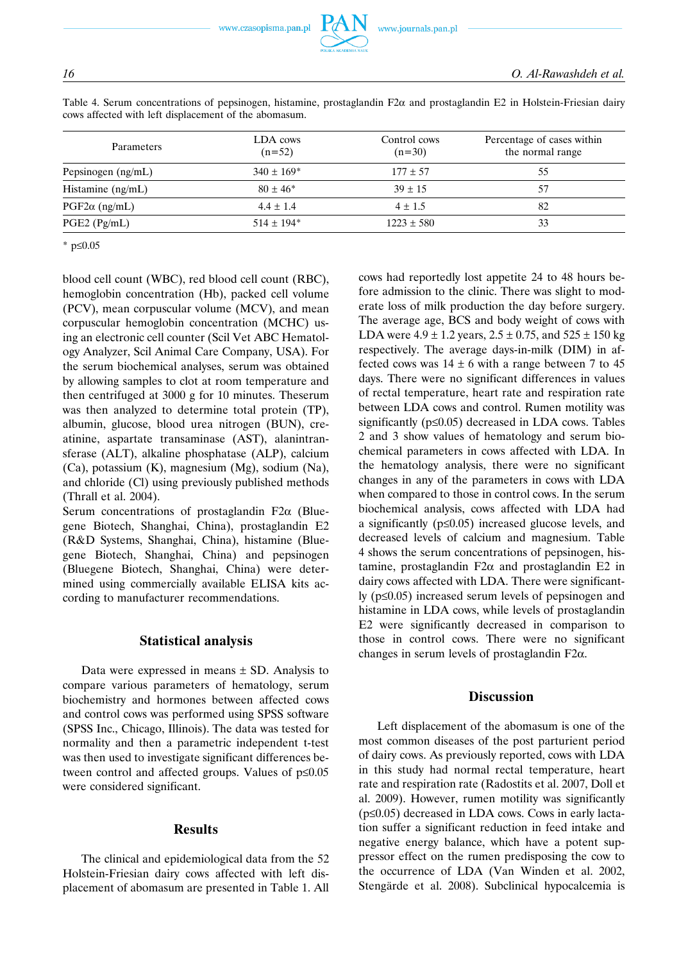www.czasopisma.pan.pl

| Table 4. Serum concentrations of pepsinogen, histamine, prostaglandin $F2\alpha$ and prostaglandin E2 in Holstein-Friesian dairy |  |  |  |  |
|----------------------------------------------------------------------------------------------------------------------------------|--|--|--|--|
| cows affected with left displacement of the abomasum.                                                                            |  |  |  |  |

| <b>Parameters</b>    | LDA cows<br>$(n=52)$       | Control cows<br>$(n=30)$ | Percentage of cases within<br>the normal range |  |  |
|----------------------|----------------------------|--------------------------|------------------------------------------------|--|--|
| Pepsinogen (ng/mL)   | $340 \pm 169$ <sup>*</sup> | $177 \pm 57$             | 55                                             |  |  |
| Histamine (ng/mL)    | $80 \pm 46^*$              | $39 \pm 15$              | 57                                             |  |  |
| $PGF2\alpha$ (ng/mL) | $4.4 \pm 1.4$              | $4 \pm 1.5$              | 82                                             |  |  |
| $PGE2$ ( $Pg/mL$ )   | $514 \pm 194*$             | $1223 \pm 580$           | 33                                             |  |  |

\* p≤0.05

blood cell count (WBC), red blood cell count (RBC), hemoglobin concentration (Hb), packed cell volume (PCV), mean corpuscular volume (MCV), and mean corpuscular hemoglobin concentration (MCHC) using an electronic cell counter (Scil Vet ABC Hematology Analyzer, Scil Animal Care Company, USA). For the serum biochemical analyses, serum was obtained by allowing samples to clot at room temperature and then centrifuged at 3000 g for 10 minutes. Theserum was then analyzed to determine total protein (TP), albumin, glucose, blood urea nitrogen (BUN), creatinine, aspartate transaminase (AST), alanintransferase (ALT), alkaline phosphatase (ALP), calcium (Ca), potassium (K), magnesium (Mg), sodium (Na), and chloride (Cl) using previously published methods (Thrall et al. 2004).

Serum concentrations of prostaglandin F2 $\alpha$  (Bluegene Biotech, Shanghai, China), prostaglandin E2 (R&D Systems, Shanghai, China), histamine (Bluegene Biotech, Shanghai, China) and pepsinogen (Bluegene Biotech, Shanghai, China) were determined using commercially available ELISA kits according to manufacturer recommendations.

#### **Statistical analysis**

Data were expressed in means  $\pm$  SD. Analysis to compare various parameters of hematology, serum biochemistry and hormones between affected cows and control cows was performed using SPSS software (SPSS Inc., Chicago, Illinois). The data was tested for normality and then a parametric independent t-test was then used to investigate significant differences between control and affected groups. Values of p≤0.05 were considered significant.

#### **Results**

The clinical and epidemiological data from the 52 Holstein-Friesian dairy cows affected with left displacement of abomasum are presented in Table 1. All cows had reportedly lost appetite 24 to 48 hours before admission to the clinic. There was slight to moderate loss of milk production the day before surgery. The average age, BCS and body weight of cows with LDA were  $4.9 \pm 1.2$  years,  $2.5 \pm 0.75$ , and  $525 \pm 150$  kg respectively. The average days-in-milk (DIM) in affected cows was  $14 \pm 6$  with a range between 7 to 45 days. There were no significant differences in values of rectal temperature, heart rate and respiration rate between LDA cows and control. Rumen motility was significantly (p≤0.05) decreased in LDA cows. Tables 2 and 3 show values of hematology and serum biochemical parameters in cows affected with LDA. In the hematology analysis, there were no significant changes in any of the parameters in cows with LDA when compared to those in control cows. In the serum biochemical analysis, cows affected with LDA had a significantly (p≤0.05) increased glucose levels, and decreased levels of calcium and magnesium. Table 4 shows the serum concentrations of pepsinogen, histamine, prostaglandin F2α and prostaglandin E2 in dairy cows affected with LDA. There were significantly (p≤0.05) increased serum levels of pepsinogen and histamine in LDA cows, while levels of prostaglandin E2 were significantly decreased in comparison to those in control cows. There were no significant changes in serum levels of prostaglandin F2α.

## **Discussion**

Left displacement of the abomasum is one of the most common diseases of the post parturient period of dairy cows. As previously reported, cows with LDA in this study had normal rectal temperature, heart rate and respiration rate (Radostits et al. 2007, Doll et al. 2009). However, rumen motility was significantly (p≤0.05) decreased in LDA cows. Cows in early lactation suffer a significant reduction in feed intake and negative energy balance, which have a potent suppressor effect on the rumen predisposing the cow to the occurrence of LDA (Van Winden et al. 2002, Stengärde et al. 2008). Subclinical hypocalcemia is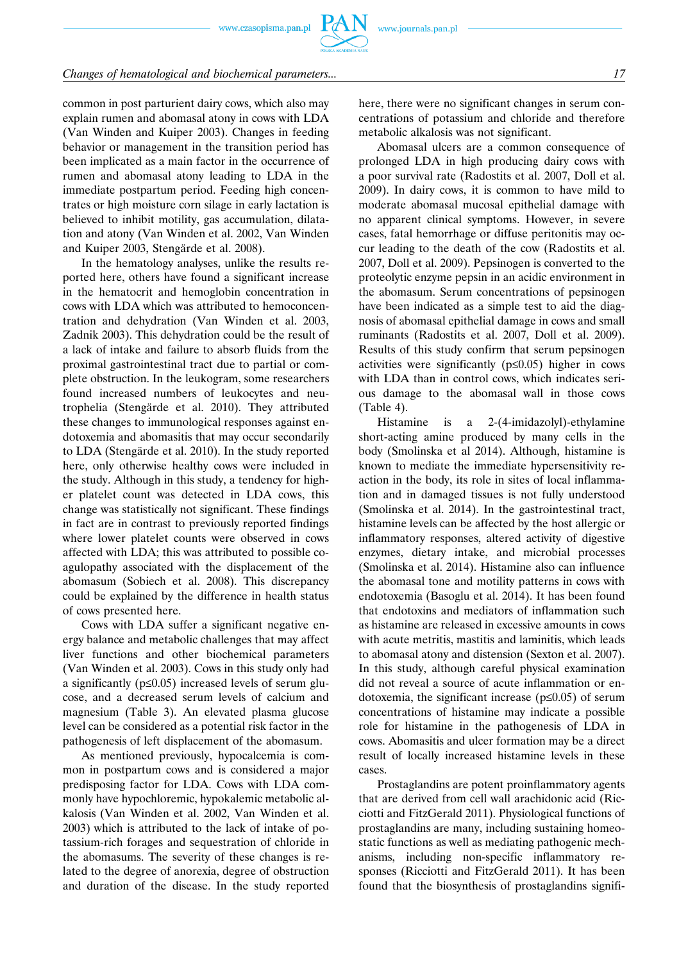## *Changes of hematological and biochemical parameters... 17*

common in post parturient dairy cows, which also may explain rumen and abomasal atony in cows with LDA (Van Winden and Kuiper 2003). Changes in feeding behavior or management in the transition period has been implicated as a main factor in the occurrence of rumen and abomasal atony leading to LDA in the immediate postpartum period. Feeding high concentrates or high moisture corn silage in early lactation is believed to inhibit motility, gas accumulation, dilatation and atony (Van Winden et al. 2002, Van Winden and Kuiper 2003, Stengärde et al. 2008).

In the hematology analyses, unlike the results reported here, others have found a significant increase in the hematocrit and hemoglobin concentration in cows with LDA which was attributed to hemoconcentration and dehydration (Van Winden et al. 2003, Zadnik 2003). This dehydration could be the result of a lack of intake and failure to absorb fluids from the proximal gastrointestinal tract due to partial or complete obstruction. In the leukogram, some researchers found increased numbers of leukocytes and neutrophelia (Stengärde et al. 2010). They attributed these changes to immunological responses against endotoxemia and abomasitis that may occur secondarily to LDA (Stengärde et al. 2010). In the study reported here, only otherwise healthy cows were included in the study. Although in this study, a tendency for higher platelet count was detected in LDA cows, this change was statistically not significant. These findings in fact are in contrast to previously reported findings where lower platelet counts were observed in cows affected with LDA; this was attributed to possible coagulopathy associated with the displacement of the abomasum (Sobiech et al. 2008). This discrepancy could be explained by the difference in health status of cows presented here.

Cows with LDA suffer a significant negative energy balance and metabolic challenges that may affect liver functions and other biochemical parameters (Van Winden et al. 2003). Cows in this study only had a significantly ( $p \le 0.05$ ) increased levels of serum glucose, and a decreased serum levels of calcium and magnesium (Table 3). An elevated plasma glucose level can be considered as a potential risk factor in the pathogenesis of left displacement of the abomasum.

As mentioned previously, hypocalcemia is common in postpartum cows and is considered a major predisposing factor for LDA. Cows with LDA commonly have hypochloremic, hypokalemic metabolic alkalosis (Van Winden et al. 2002, Van Winden et al. 2003) which is attributed to the lack of intake of potassium-rich forages and sequestration of chloride in the abomasums. The severity of these changes is related to the degree of anorexia, degree of obstruction and duration of the disease. In the study reported here, there were no significant changes in serum concentrations of potassium and chloride and therefore metabolic alkalosis was not significant.

Abomasal ulcers are a common consequence of prolonged LDA in high producing dairy cows with a poor survival rate (Radostits et al. 2007, Doll et al. 2009). In dairy cows, it is common to have mild to moderate abomasal mucosal epithelial damage with no apparent clinical symptoms. However, in severe cases, fatal hemorrhage or diffuse peritonitis may occur leading to the death of the cow (Radostits et al. 2007, Doll et al. 2009). Pepsinogen is converted to the proteolytic enzyme pepsin in an acidic environment in the abomasum. Serum concentrations of pepsinogen have been indicated as a simple test to aid the diagnosis of abomasal epithelial damage in cows and small ruminants (Radostits et al. 2007, Doll et al. 2009). Results of this study confirm that serum pepsinogen activities were significantly (p≤0.05) higher in cows with LDA than in control cows, which indicates serious damage to the abomasal wall in those cows (Table 4).

Histamine is a 2-(4-imidazolyl)-ethylamine short-acting amine produced by many cells in the body (Smolinska et al 2014). Although, histamine is known to mediate the immediate hypersensitivity reaction in the body, its role in sites of local inflammation and in damaged tissues is not fully understood (Smolinska et al. 2014). In the gastrointestinal tract, histamine levels can be affected by the host allergic or inflammatory responses, altered activity of digestive enzymes, dietary intake, and microbial processes (Smolinska et al. 2014). Histamine also can influence the abomasal tone and motility patterns in cows with endotoxemia (Basoglu et al. 2014). It has been found that endotoxins and mediators of inflammation such as histamine are released in excessive amounts in cows with acute metritis, mastitis and laminitis, which leads to abomasal atony and distension (Sexton et al. 2007). In this study, although careful physical examination did not reveal a source of acute inflammation or endotoxemia, the significant increase ( $p \le 0.05$ ) of serum concentrations of histamine may indicate a possible role for histamine in the pathogenesis of LDA in cows. Abomasitis and ulcer formation may be a direct result of locally increased histamine levels in these cases.

Prostaglandins are potent proinflammatory agents that are derived from cell wall arachidonic acid (Ricciotti and FitzGerald 2011). Physiological functions of prostaglandins are many, including sustaining homeostatic functions as well as mediating pathogenic mechanisms, including non-specific inflammatory responses (Ricciotti and FitzGerald 2011). It has been found that the biosynthesis of prostaglandins signifi-